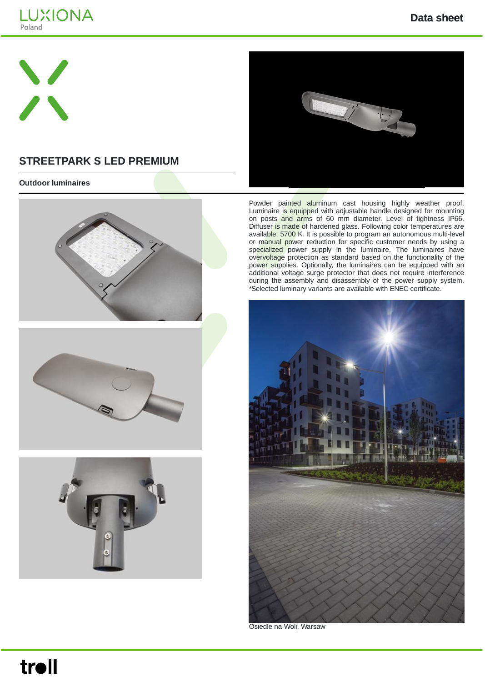



## **STREETPARK S LED PREMIUM**

#### **Outdoor luminaires**









Powder painted aluminum cast housing highly weather proof. Luminaire is equipped with adjustable handle designed for mounting on posts and arms of 60 mm diameter. Level of tightness IP66. Diffuser is made of hardened glass. Following color temperatures are available: 5700 K. It is possible to program an autonomous multi-level or manual power reduction for specific customer needs by using a specialized power supply in the luminaire. The luminaires have overvoltage protection as standard based on the functionality of the power supplies. Optionally, the luminaires can be equipped with an additional voltage surge protector that does not require interference during the assembly and disassembly of the power supply system. \*Selected luminary variants are available with ENEC certificate.



Osiedle na Woli, Warsaw